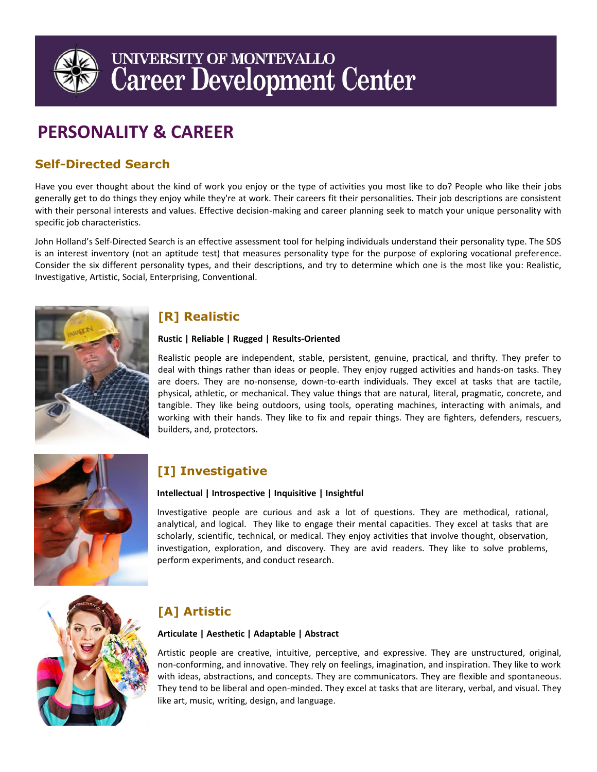

# UNIVERSITY OF MONTEVALLO **Career Development Center**

## **PERSONALITY & CAREER**

## **Self-Directed Search**

Have you ever thought about the kind of work you enjoy or the type of activities you most like to do? People who like their jobs generally get to do things they enjoy while they're at work. Their careers fit their personalities. Their job descriptions are consistent with their personal interests and values. Effective decision-making and career planning seek to match your unique personality with specific job characteristics.

John Holland's Self-Directed Search is an effective assessment tool for helping individuals understand their personality type. The SDS is an interest inventory (not an aptitude test) that measures personality type for the purpose of exploring vocational preference. Consider the six different personality types, and their descriptions, and try to determine which one is the most like you: Realistic, Investigative, Artistic, Social, Enterprising, Conventional.



## **[R] Realistic**

#### **Rustic | Reliable | Rugged | Results-Oriented**

Realistic people are independent, stable, persistent, genuine, practical, and thrifty. They prefer to deal with things rather than ideas or people. They enjoy rugged activities and hands-on tasks. They are doers. They are no-nonsense, down-to-earth individuals. They excel at tasks that are tactile, physical, athletic, or mechanical. They value things that are natural, literal, pragmatic, concrete, and tangible. They like being outdoors, using tools, operating machines, interacting with animals, and working with their hands. They like to fix and repair things. They are fighters, defenders, rescuers, builders, and, protectors.



## **[I] Investigative**

#### **Intellectual | Introspective | Inquisitive | Insightful**

Investigative people are curious and ask a lot of questions. They are methodical, rational, analytical, and logical. They like to engage their mental capacities. They excel at tasks that are scholarly, scientific, technical, or medical. They enjoy activities that involve thought, observation, investigation, exploration, and discovery. They are avid readers. They like to solve problems, perform experiments, and conduct research.



## **[A] Artistic**

#### **Articulate | Aesthetic | Adaptable | Abstract**

Artistic people are creative, intuitive, perceptive, and expressive. They are unstructured, original, non-conforming, and innovative. They rely on feelings, imagination, and inspiration. They like to work with ideas, abstractions, and concepts. They are communicators. They are flexible and spontaneous. They tend to be liberal and open-minded. They excel at tasks that are literary, verbal, and visual. They like art, music, writing, design, and language.